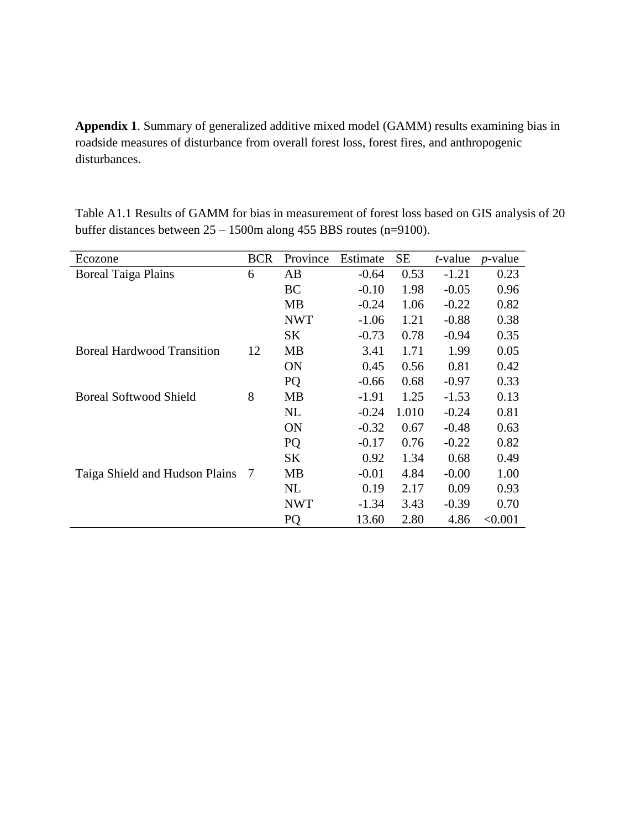**Appendix 1**. Summary of generalized additive mixed model (GAMM) results examining bias in roadside measures of disturbance from overall forest loss, forest fires, and anthropogenic disturbances.

Table A1.1 Results of GAMM for bias in measurement of forest loss based on GIS analysis of 20 buffer distances between  $25 - 1500$ m along 455 BBS routes (n=9100).

| Ecozone                           | <b>BCR</b> | Province   | Estimate | SЕ    | <i>t</i> -value | $p$ -value |
|-----------------------------------|------------|------------|----------|-------|-----------------|------------|
| <b>Boreal Taiga Plains</b>        | 6          | AB         | $-0.64$  | 0.53  | $-1.21$         | 0.23       |
|                                   |            | <b>BC</b>  | $-0.10$  | 1.98  | $-0.05$         | 0.96       |
|                                   |            | <b>MB</b>  | $-0.24$  | 1.06  | $-0.22$         | 0.82       |
|                                   |            | <b>NWT</b> | $-1.06$  | 1.21  | $-0.88$         | 0.38       |
|                                   |            | <b>SK</b>  | $-0.73$  | 0.78  | $-0.94$         | 0.35       |
| <b>Boreal Hardwood Transition</b> | 12         | MВ         | 3.41     | 1.71  | 1.99            | 0.05       |
|                                   |            | <b>ON</b>  | 0.45     | 0.56  | 0.81            | 0.42       |
|                                   |            | PQ         | $-0.66$  | 0.68  | $-0.97$         | 0.33       |
| <b>Boreal Softwood Shield</b>     | 8          | MВ         | $-1.91$  | 1.25  | $-1.53$         | 0.13       |
|                                   |            | <b>NL</b>  | $-0.24$  | 1.010 | $-0.24$         | 0.81       |
|                                   |            | <b>ON</b>  | $-0.32$  | 0.67  | $-0.48$         | 0.63       |
|                                   |            | PQ         | $-0.17$  | 0.76  | $-0.22$         | 0.82       |
|                                   |            | <b>SK</b>  | 0.92     | 1.34  | 0.68            | 0.49       |
| Taiga Shield and Hudson Plains    | 7          | MB         | $-0.01$  | 4.84  | $-0.00$         | 1.00       |
|                                   |            | NL         | 0.19     | 2.17  | 0.09            | 0.93       |
|                                   |            | <b>NWT</b> | $-1.34$  | 3.43  | $-0.39$         | 0.70       |
|                                   |            | PQ         | 13.60    | 2.80  | 4.86            | < 0.001    |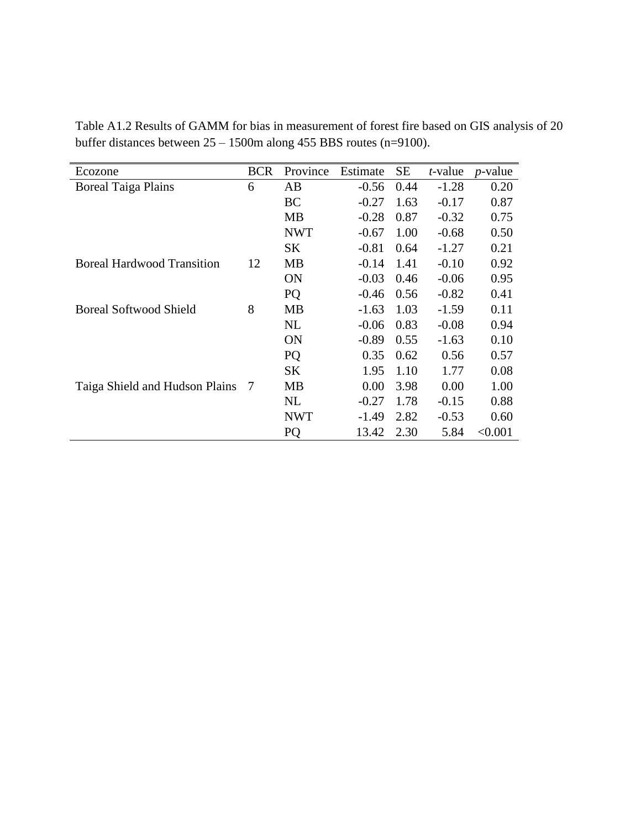| Ecozone                           | <b>BCR</b> | Province       | Estimate | SЕ   | <i>t</i> -value | $p$ -value |
|-----------------------------------|------------|----------------|----------|------|-----------------|------------|
|                                   |            | AB             |          |      |                 |            |
| <b>Boreal Taiga Plains</b>        | 6          |                | $-0.56$  | 0.44 | $-1.28$         | 0.20       |
|                                   |            | <b>BC</b>      | $-0.27$  | 1.63 | $-0.17$         | 0.87       |
|                                   |            | MВ             | $-0.28$  | 0.87 | $-0.32$         | 0.75       |
|                                   |            | <b>NWT</b>     | $-0.67$  | 1.00 | $-0.68$         | 0.50       |
|                                   |            | <b>SK</b>      | $-0.81$  | 0.64 | $-1.27$         | 0.21       |
| <b>Boreal Hardwood Transition</b> | 12         | MB             | $-0.14$  | 1.41 | $-0.10$         | 0.92       |
|                                   |            | <b>ON</b>      | $-0.03$  | 0.46 | $-0.06$         | 0.95       |
|                                   |            | PQ             | $-0.46$  | 0.56 | $-0.82$         | 0.41       |
| <b>Boreal Softwood Shield</b>     | 8          | MВ             | $-1.63$  | 1.03 | $-1.59$         | 0.11       |
|                                   |            | NL             | $-0.06$  | 0.83 | $-0.08$         | 0.94       |
|                                   |            | ON             | $-0.89$  | 0.55 | $-1.63$         | 0.10       |
|                                   |            | PQ             | 0.35     | 0.62 | 0.56            | 0.57       |
|                                   |            | <b>SK</b>      | 1.95     | 1.10 | 1.77            | 0.08       |
| Taiga Shield and Hudson Plains    | 7          | <b>MB</b>      | 0.00     | 3.98 | 0.00            | 1.00       |
|                                   |            | <b>NL</b>      | $-0.27$  | 1.78 | $-0.15$         | 0.88       |
|                                   |            | <b>NWT</b>     | $-1.49$  | 2.82 | $-0.53$         | 0.60       |
|                                   |            | P <sub>O</sub> | 13.42    | 2.30 | 5.84            | < 0.001    |

Table A1.2 Results of GAMM for bias in measurement of forest fire based on GIS analysis of 20 buffer distances between 25 – 1500m along 455 BBS routes (n=9100).